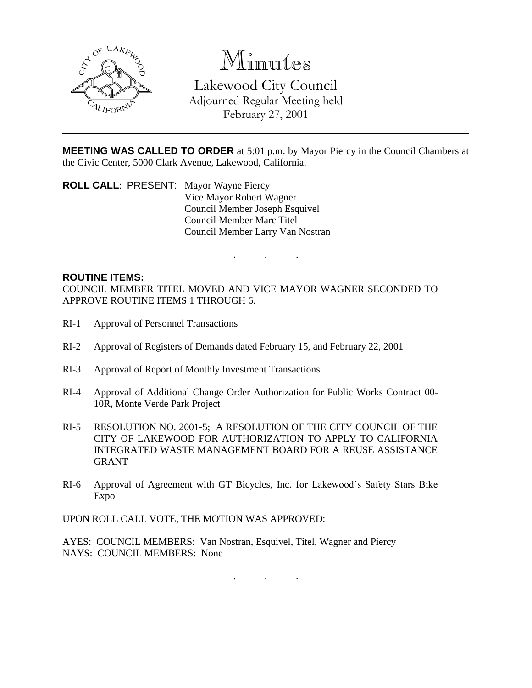

# Minutes

Lakewood City Council Adjourned Regular Meeting held February 27, 2001

**MEETING WAS CALLED TO ORDER** at 5:01 p.m. by Mayor Piercy in the Council Chambers at the Civic Center, 5000 Clark Avenue, Lakewood, California.

. . .

**ROLL CALL**: PRESENT: Mayor Wayne Piercy Vice Mayor Robert Wagner Council Member Joseph Esquivel Council Member Marc Titel Council Member Larry Van Nostran

## **ROUTINE ITEMS:**

COUNCIL MEMBER TITEL MOVED AND VICE MAYOR WAGNER SECONDED TO APPROVE ROUTINE ITEMS 1 THROUGH 6.

- RI-1 Approval of Personnel Transactions
- RI-2 Approval of Registers of Demands dated February 15, and February 22, 2001
- RI-3 Approval of Report of Monthly Investment Transactions
- RI-4 Approval of Additional Change Order Authorization for Public Works Contract 00- 10R, Monte Verde Park Project
- RI-5 RESOLUTION NO. 2001-5; A RESOLUTION OF THE CITY COUNCIL OF THE CITY OF LAKEWOOD FOR AUTHORIZATION TO APPLY TO CALIFORNIA INTEGRATED WASTE MANAGEMENT BOARD FOR A REUSE ASSISTANCE GRANT
- RI-6 Approval of Agreement with GT Bicycles, Inc. for Lakewood's Safety Stars Bike Expo

UPON ROLL CALL VOTE, THE MOTION WAS APPROVED:

AYES: COUNCIL MEMBERS: Van Nostran, Esquivel, Titel, Wagner and Piercy NAYS: COUNCIL MEMBERS: None

. . .